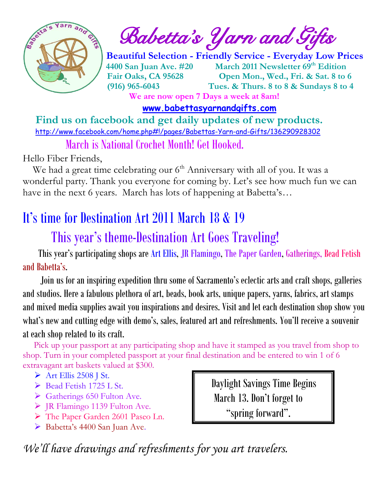

 $\int_{a}^{\infty}$  and  $\int_{a}^{\infty}$  and  $\int_{a}^{\infty}$  Babetta's Yarn and Gifts

 **Beautiful Selection - Friendly Service - Everyday Low Prices 4400 San Juan Ave. #20 March 2011 Newsletter 69th Edition Fair Oaks, CA 95628 Open Mon., Wed., Fri. & Sat. 8 to 6 (916) 965-6043 Tues. & Thurs. 8 to 8 & Sundays 8 to 4 We are now open 7 Days a week at 8am!** 

 **[www.babettasyarnandgifts.com](http://www.babettasyarnandgifts.com/)**

 **Find us on facebook and get daily updates of new products.**  <http://www.facebook.com/home.php#!/pages/Babettas-Yarn-and-Gifts/136290928302> March is National Crochet Month! Get Hooked.

Hello Fiber Friends,

We had a great time celebrating our  $6<sup>th</sup>$  Anniversary with all of you. It was a wonderful party. Thank you everyone for coming by. Let's see how much fun we can have in the next 6 years. March has lots of happening at Babetta's...

## It's time for Destination Art 2011 March 18 & 19

## This year's theme-Destination Art Goes Traveling!

 This year's participating shops are Art Ellis, JR Flamingo, The Paper Garden, Gatherings, Bead Fetish and Babetta's.

 Join us for an inspiring expedition thru some of Sacramento's eclectic arts and craft shops, galleries and studios. Here a fabulous plethora of art, beads, book arts, unique papers, yarns, fabrics, art stamps and mixed media supplies await you inspirations and desires. Visit and let each destination shop show you what's new and cutting edge with demo's, sales, featured art and refreshments. You'll receive a souvenir at each shop related to its craft.

 Pick up your passport at any participating shop and have it stamped as you travel from shop to shop. Turn in your completed passport at your final destination and be entered to win 1 of 6 extravagant art baskets valued at \$300.

- Art Ellis 2508 J St.
- $\triangleright$  Bead Fetish 1725 L St.
- ▶ Gatherings 650 Fulton Ave.
- $\triangleright$  JR Flamingo 1139 Fulton Ave.
- The Paper Garden 2601 Paseo Ln.
- Babetta's 4400 San Juan Ave.

 Daylight Savings Time Begins March 13. Don't forget to "spring forward".

*We'll have drawings and refreshments for you art travelers.*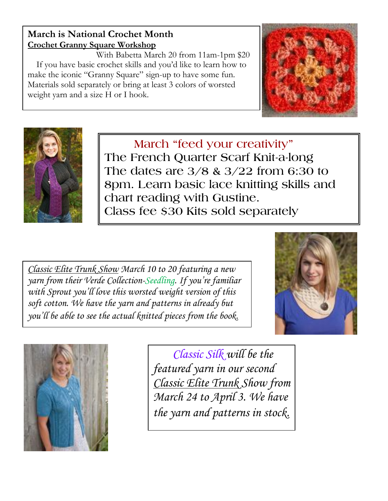## **March is National Crochet Month Crochet Granny Square Workshop**

 With Babetta March 20 from 11am-1pm \$20 If you have basic crochet skills and you'd like to learn how to make the iconic "Granny Square" sign-up to have some fun. Materials sold separately or bring at least 3 colors of worsted weight yarn and a size H or I hook.





 **March "feed your creativity" The French Quarter Scarf Knit-a-long The dates are 3/8 & 3/22 from 6:30 to 8pm. Learn basic lace knitting skills and chart reading with Gustine. Class fee \$30 Kits sold separately**

*Classic Elite Trunk Show March 10 to 20 featuring a new yarn from their Verde Collection-Seedling. If you're familiar with Sprout you'll love this worsted weight version of this soft cotton. We have the yarn and patterns in already but you'll be able to see the actual knitted pieces from the book.*





 *Classic Silk will be the featured yarn in our second Classic Elite Trunk Show from March 24 to April 3. We have the yarn and patterns in stock.*